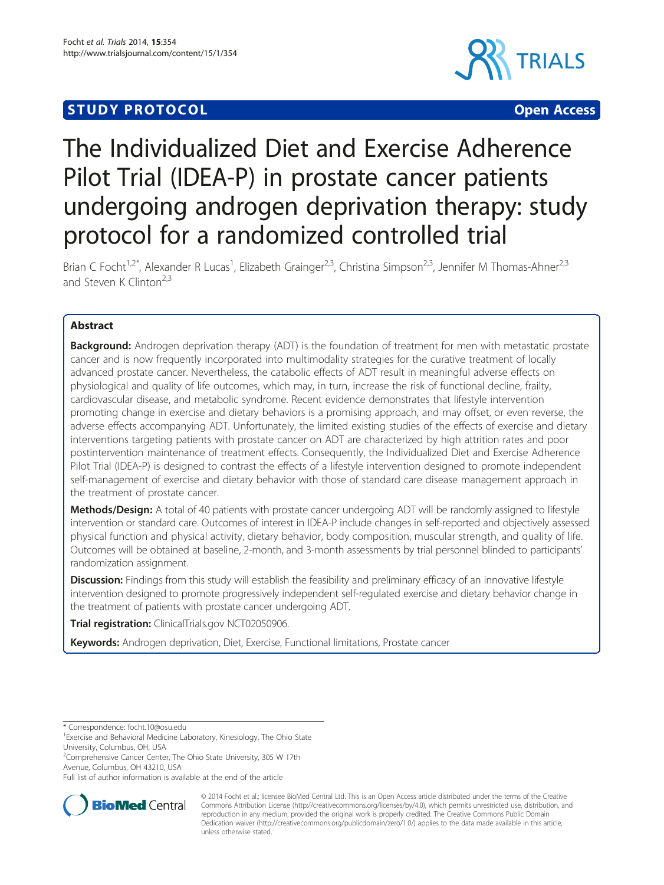## **STUDY PROTOCOL CONSUMING THE CONSUMING OPEN ACCESS**



# The Individualized Diet and Exercise Adherence Pilot Trial (IDEA-P) in prostate cancer patients undergoing androgen deprivation therapy: study protocol for a randomized controlled trial

Brian C Focht<sup>1,2\*</sup>, Alexander R Lucas<sup>1</sup>, Elizabeth Grainger<sup>2,3</sup>, Christina Simpson<sup>2,3</sup>, Jennifer M Thomas-Ahner<sup>2,3</sup> and Steven K Clinton<sup>2,3</sup>

## Abstract

Background: Androgen deprivation therapy (ADT) is the foundation of treatment for men with metastatic prostate cancer and is now frequently incorporated into multimodality strategies for the curative treatment of locally advanced prostate cancer. Nevertheless, the catabolic effects of ADT result in meaningful adverse effects on physiological and quality of life outcomes, which may, in turn, increase the risk of functional decline, frailty, cardiovascular disease, and metabolic syndrome. Recent evidence demonstrates that lifestyle intervention promoting change in exercise and dietary behaviors is a promising approach, and may offset, or even reverse, the adverse effects accompanying ADT. Unfortunately, the limited existing studies of the effects of exercise and dietary interventions targeting patients with prostate cancer on ADT are characterized by high attrition rates and poor postintervention maintenance of treatment effects. Consequently, the Individualized Diet and Exercise Adherence Pilot Trial (IDEA-P) is designed to contrast the effects of a lifestyle intervention designed to promote independent self-management of exercise and dietary behavior with those of standard care disease management approach in the treatment of prostate cancer.

Methods/Design: A total of 40 patients with prostate cancer undergoing ADT will be randomly assigned to lifestyle intervention or standard care. Outcomes of interest in IDEA-P include changes in self-reported and objectively assessed physical function and physical activity, dietary behavior, body composition, muscular strength, and quality of life. Outcomes will be obtained at baseline, 2-month, and 3-month assessments by trial personnel blinded to participants' randomization assignment.

Discussion: Findings from this study will establish the feasibility and preliminary efficacy of an innovative lifestyle intervention designed to promote progressively independent self-regulated exercise and dietary behavior change in the treatment of patients with prostate cancer undergoing ADT.

Trial registration: ClinicalTrials.gov [NCT02050906.](http://www.clinicaltrials.gov/ct2/show/NCT02050906)

Keywords: Androgen deprivation, Diet, Exercise, Functional limitations, Prostate cancer

\* Correspondence: [focht.10@osu.edu](mailto:focht.10@osu.edu) <sup>1</sup>

<sup>2</sup> Comprehensive Cancer Center, The Ohio State University, 305 W 17th Avenue, Columbus, OH 43210, USA

Full list of author information is available at the end of the article



© 2014 Focht et al.; licensee BioMed Central Ltd. This is an Open Access article distributed under the terms of the Creative Commons Attribution License [\(http://creativecommons.org/licenses/by/4.0\)](http://creativecommons.org/licenses/by/4.0), which permits unrestricted use, distribution, and reproduction in any medium, provided the original work is properly credited. The Creative Commons Public Domain Dedication waiver [\(http://creativecommons.org/publicdomain/zero/1.0/](http://creativecommons.org/publicdomain/zero/1.0/)) applies to the data made available in this article, unless otherwise stated.

<sup>&</sup>lt;sup>1</sup> Exercise and Behavioral Medicine Laboratory, Kinesiology, The Ohio State University, Columbus, OH, USA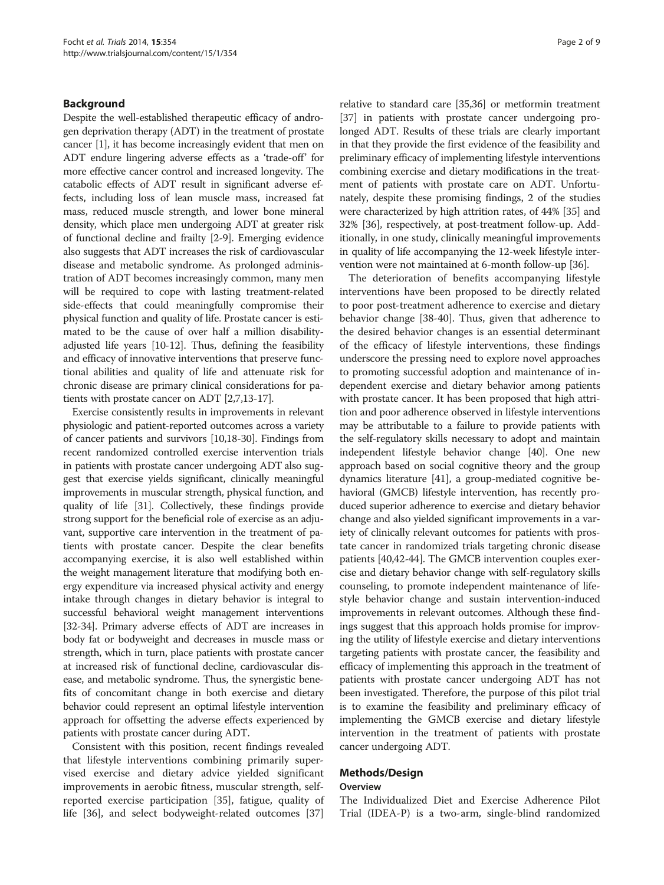## Background

Despite the well-established therapeutic efficacy of androgen deprivation therapy (ADT) in the treatment of prostate cancer [[1](#page-7-0)], it has become increasingly evident that men on ADT endure lingering adverse effects as a 'trade-off' for more effective cancer control and increased longevity. The catabolic effects of ADT result in significant adverse effects, including loss of lean muscle mass, increased fat mass, reduced muscle strength, and lower bone mineral density, which place men undergoing ADT at greater risk of functional decline and frailty [[2-9\]](#page-7-0). Emerging evidence also suggests that ADT increases the risk of cardiovascular disease and metabolic syndrome. As prolonged administration of ADT becomes increasingly common, many men will be required to cope with lasting treatment-related side-effects that could meaningfully compromise their physical function and quality of life. Prostate cancer is estimated to be the cause of over half a million disabilityadjusted life years [\[10-12\]](#page-7-0). Thus, defining the feasibility and efficacy of innovative interventions that preserve functional abilities and quality of life and attenuate risk for chronic disease are primary clinical considerations for patients with prostate cancer on ADT [\[2,7,13-17\]](#page-7-0).

Exercise consistently results in improvements in relevant physiologic and patient-reported outcomes across a variety of cancer patients and survivors [[10,18](#page-7-0)[-30\]](#page-8-0). Findings from recent randomized controlled exercise intervention trials in patients with prostate cancer undergoing ADT also suggest that exercise yields significant, clinically meaningful improvements in muscular strength, physical function, and quality of life [\[31\]](#page-8-0). Collectively, these findings provide strong support for the beneficial role of exercise as an adjuvant, supportive care intervention in the treatment of patients with prostate cancer. Despite the clear benefits accompanying exercise, it is also well established within the weight management literature that modifying both energy expenditure via increased physical activity and energy intake through changes in dietary behavior is integral to successful behavioral weight management interventions [[32](#page-8-0)-[34](#page-8-0)]. Primary adverse effects of ADT are increases in body fat or bodyweight and decreases in muscle mass or strength, which in turn, place patients with prostate cancer at increased risk of functional decline, cardiovascular disease, and metabolic syndrome. Thus, the synergistic benefits of concomitant change in both exercise and dietary behavior could represent an optimal lifestyle intervention approach for offsetting the adverse effects experienced by patients with prostate cancer during ADT.

Consistent with this position, recent findings revealed that lifestyle interventions combining primarily supervised exercise and dietary advice yielded significant improvements in aerobic fitness, muscular strength, selfreported exercise participation [[35](#page-8-0)], fatigue, quality of life [[36](#page-8-0)], and select bodyweight-related outcomes [[37](#page-8-0)]

relative to standard care [[35,36](#page-8-0)] or metformin treatment [[37](#page-8-0)] in patients with prostate cancer undergoing prolonged ADT. Results of these trials are clearly important in that they provide the first evidence of the feasibility and preliminary efficacy of implementing lifestyle interventions combining exercise and dietary modifications in the treatment of patients with prostate care on ADT. Unfortunately, despite these promising findings, 2 of the studies were characterized by high attrition rates, of 44% [\[35\]](#page-8-0) and 32% [\[36\]](#page-8-0), respectively, at post-treatment follow-up. Additionally, in one study, clinically meaningful improvements in quality of life accompanying the 12-week lifestyle intervention were not maintained at 6-month follow-up [[36](#page-8-0)].

The deterioration of benefits accompanying lifestyle interventions have been proposed to be directly related to poor post-treatment adherence to exercise and dietary behavior change [\[38](#page-8-0)-[40\]](#page-8-0). Thus, given that adherence to the desired behavior changes is an essential determinant of the efficacy of lifestyle interventions, these findings underscore the pressing need to explore novel approaches to promoting successful adoption and maintenance of independent exercise and dietary behavior among patients with prostate cancer. It has been proposed that high attrition and poor adherence observed in lifestyle interventions may be attributable to a failure to provide patients with the self-regulatory skills necessary to adopt and maintain independent lifestyle behavior change [[40](#page-8-0)]. One new approach based on social cognitive theory and the group dynamics literature [\[41\]](#page-8-0), a group-mediated cognitive behavioral (GMCB) lifestyle intervention, has recently produced superior adherence to exercise and dietary behavior change and also yielded significant improvements in a variety of clinically relevant outcomes for patients with prostate cancer in randomized trials targeting chronic disease patients [\[40,42](#page-8-0)-[44](#page-8-0)]. The GMCB intervention couples exercise and dietary behavior change with self-regulatory skills counseling, to promote independent maintenance of lifestyle behavior change and sustain intervention-induced improvements in relevant outcomes. Although these findings suggest that this approach holds promise for improving the utility of lifestyle exercise and dietary interventions targeting patients with prostate cancer, the feasibility and efficacy of implementing this approach in the treatment of patients with prostate cancer undergoing ADT has not been investigated. Therefore, the purpose of this pilot trial is to examine the feasibility and preliminary efficacy of implementing the GMCB exercise and dietary lifestyle intervention in the treatment of patients with prostate cancer undergoing ADT.

#### Methods/Design

#### **Overview**

The Individualized Diet and Exercise Adherence Pilot Trial (IDEA-P) is a two-arm, single-blind randomized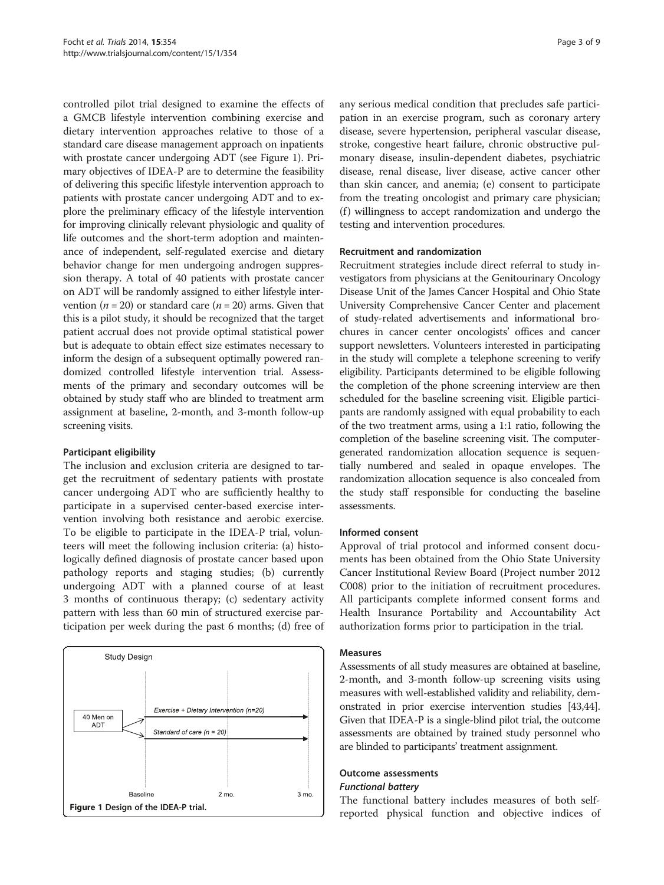controlled pilot trial designed to examine the effects of a GMCB lifestyle intervention combining exercise and dietary intervention approaches relative to those of a standard care disease management approach on inpatients with prostate cancer undergoing ADT (see Figure 1). Primary objectives of IDEA-P are to determine the feasibility of delivering this specific lifestyle intervention approach to patients with prostate cancer undergoing ADT and to explore the preliminary efficacy of the lifestyle intervention for improving clinically relevant physiologic and quality of life outcomes and the short-term adoption and maintenance of independent, self-regulated exercise and dietary behavior change for men undergoing androgen suppression therapy. A total of 40 patients with prostate cancer on ADT will be randomly assigned to either lifestyle intervention ( $n = 20$ ) or standard care ( $n = 20$ ) arms. Given that this is a pilot study, it should be recognized that the target patient accrual does not provide optimal statistical power but is adequate to obtain effect size estimates necessary to inform the design of a subsequent optimally powered randomized controlled lifestyle intervention trial. Assessments of the primary and secondary outcomes will be obtained by study staff who are blinded to treatment arm assignment at baseline, 2-month, and 3-month follow-up screening visits.

## Participant eligibility

The inclusion and exclusion criteria are designed to target the recruitment of sedentary patients with prostate cancer undergoing ADT who are sufficiently healthy to participate in a supervised center-based exercise intervention involving both resistance and aerobic exercise. To be eligible to participate in the IDEA-P trial, volunteers will meet the following inclusion criteria: (a) histologically defined diagnosis of prostate cancer based upon pathology reports and staging studies; (b) currently undergoing ADT with a planned course of at least 3 months of continuous therapy; (c) sedentary activity pattern with less than 60 min of structured exercise participation per week during the past 6 months; (d) free of



any serious medical condition that precludes safe participation in an exercise program, such as coronary artery disease, severe hypertension, peripheral vascular disease, stroke, congestive heart failure, chronic obstructive pulmonary disease, insulin-dependent diabetes, psychiatric disease, renal disease, liver disease, active cancer other than skin cancer, and anemia; (e) consent to participate from the treating oncologist and primary care physician; (f) willingness to accept randomization and undergo the testing and intervention procedures.

#### Recruitment and randomization

Recruitment strategies include direct referral to study investigators from physicians at the Genitourinary Oncology Disease Unit of the James Cancer Hospital and Ohio State University Comprehensive Cancer Center and placement of study-related advertisements and informational brochures in cancer center oncologists' offices and cancer support newsletters. Volunteers interested in participating in the study will complete a telephone screening to verify eligibility. Participants determined to be eligible following the completion of the phone screening interview are then scheduled for the baseline screening visit. Eligible participants are randomly assigned with equal probability to each of the two treatment arms, using a 1:1 ratio, following the completion of the baseline screening visit. The computergenerated randomization allocation sequence is sequentially numbered and sealed in opaque envelopes. The randomization allocation sequence is also concealed from the study staff responsible for conducting the baseline assessments.

#### Informed consent

Approval of trial protocol and informed consent documents has been obtained from the Ohio State University Cancer Institutional Review Board (Project number 2012 C008) prior to the initiation of recruitment procedures. All participants complete informed consent forms and Health Insurance Portability and Accountability Act authorization forms prior to participation in the trial.

#### Measures

Assessments of all study measures are obtained at baseline, 2-month, and 3-month follow-up screening visits using measures with well-established validity and reliability, demonstrated in prior exercise intervention studies [\[43,44](#page-8-0)]. Given that IDEA-P is a single-blind pilot trial, the outcome assessments are obtained by trained study personnel who are blinded to participants' treatment assignment.

#### Outcome assessments Functional battery

The functional battery includes measures of both self-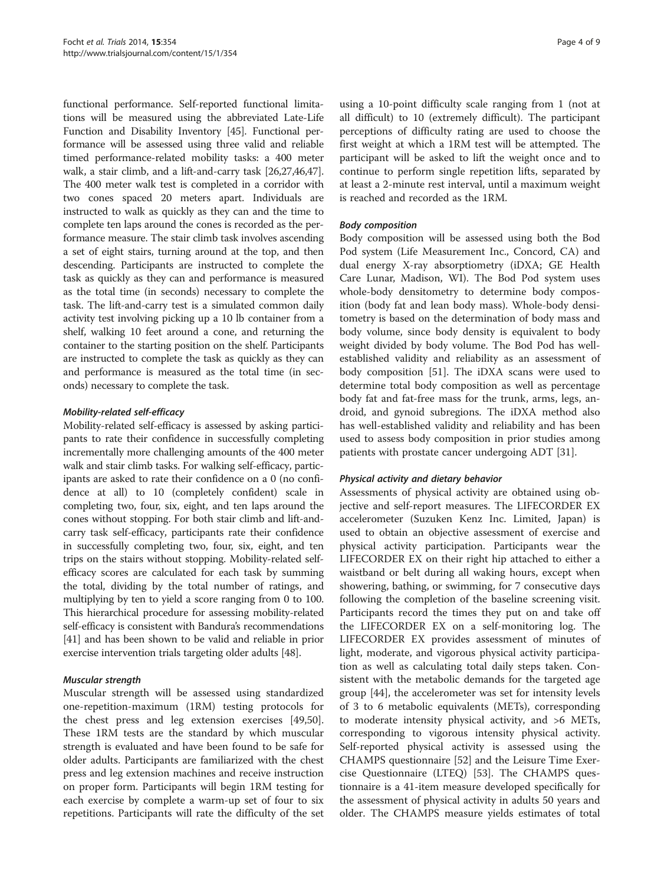functional performance. Self-reported functional limitations will be measured using the abbreviated Late-Life Function and Disability Inventory [[45](#page-8-0)]. Functional performance will be assessed using three valid and reliable timed performance-related mobility tasks: a 400 meter walk, a stair climb, and a lift-and-carry task [[26,27](#page-7-0)[,46,47](#page-8-0)]. The 400 meter walk test is completed in a corridor with two cones spaced 20 meters apart. Individuals are instructed to walk as quickly as they can and the time to complete ten laps around the cones is recorded as the performance measure. The stair climb task involves ascending a set of eight stairs, turning around at the top, and then descending. Participants are instructed to complete the task as quickly as they can and performance is measured as the total time (in seconds) necessary to complete the task. The lift-and-carry test is a simulated common daily activity test involving picking up a 10 lb container from a shelf, walking 10 feet around a cone, and returning the container to the starting position on the shelf. Participants are instructed to complete the task as quickly as they can and performance is measured as the total time (in seconds) necessary to complete the task.

## Mobility-related self-efficacy

Mobility-related self-efficacy is assessed by asking participants to rate their confidence in successfully completing incrementally more challenging amounts of the 400 meter walk and stair climb tasks. For walking self-efficacy, participants are asked to rate their confidence on a 0 (no confidence at all) to 10 (completely confident) scale in completing two, four, six, eight, and ten laps around the cones without stopping. For both stair climb and lift-andcarry task self-efficacy, participants rate their confidence in successfully completing two, four, six, eight, and ten trips on the stairs without stopping. Mobility-related selfefficacy scores are calculated for each task by summing the total, dividing by the total number of ratings, and multiplying by ten to yield a score ranging from 0 to 100. This hierarchical procedure for assessing mobility-related self-efficacy is consistent with Bandura's recommendations [[41](#page-8-0)] and has been shown to be valid and reliable in prior exercise intervention trials targeting older adults [\[48](#page-8-0)].

## Muscular strength

Muscular strength will be assessed using standardized one-repetition-maximum (1RM) testing protocols for the chest press and leg extension exercises [\[49,50](#page-8-0)]. These 1RM tests are the standard by which muscular strength is evaluated and have been found to be safe for older adults. Participants are familiarized with the chest press and leg extension machines and receive instruction on proper form. Participants will begin 1RM testing for each exercise by complete a warm-up set of four to six repetitions. Participants will rate the difficulty of the set

using a 10-point difficulty scale ranging from 1 (not at all difficult) to 10 (extremely difficult). The participant perceptions of difficulty rating are used to choose the first weight at which a 1RM test will be attempted. The participant will be asked to lift the weight once and to continue to perform single repetition lifts, separated by at least a 2-minute rest interval, until a maximum weight is reached and recorded as the 1RM.

## Body composition

Body composition will be assessed using both the Bod Pod system (Life Measurement Inc., Concord, CA) and dual energy X-ray absorptiometry (iDXA; GE Health Care Lunar, Madison, WI). The Bod Pod system uses whole-body densitometry to determine body composition (body fat and lean body mass). Whole-body densitometry is based on the determination of body mass and body volume, since body density is equivalent to body weight divided by body volume. The Bod Pod has wellestablished validity and reliability as an assessment of body composition [[51\]](#page-8-0). The iDXA scans were used to determine total body composition as well as percentage body fat and fat-free mass for the trunk, arms, legs, android, and gynoid subregions. The iDXA method also has well-established validity and reliability and has been used to assess body composition in prior studies among patients with prostate cancer undergoing ADT [[31](#page-8-0)].

## Physical activity and dietary behavior

Assessments of physical activity are obtained using objective and self-report measures. The LIFECORDER EX accelerometer (Suzuken Kenz Inc. Limited, Japan) is used to obtain an objective assessment of exercise and physical activity participation. Participants wear the LIFECORDER EX on their right hip attached to either a waistband or belt during all waking hours, except when showering, bathing, or swimming, for 7 consecutive days following the completion of the baseline screening visit. Participants record the times they put on and take off the LIFECORDER EX on a self-monitoring log. The LIFECORDER EX provides assessment of minutes of light, moderate, and vigorous physical activity participation as well as calculating total daily steps taken. Consistent with the metabolic demands for the targeted age group [\[44](#page-8-0)], the accelerometer was set for intensity levels of 3 to 6 metabolic equivalents (METs), corresponding to moderate intensity physical activity, and >6 METs, corresponding to vigorous intensity physical activity. Self-reported physical activity is assessed using the CHAMPS questionnaire [\[52](#page-8-0)] and the Leisure Time Exercise Questionnaire (LTEQ) [[53](#page-8-0)]. The CHAMPS questionnaire is a 41-item measure developed specifically for the assessment of physical activity in adults 50 years and older. The CHAMPS measure yields estimates of total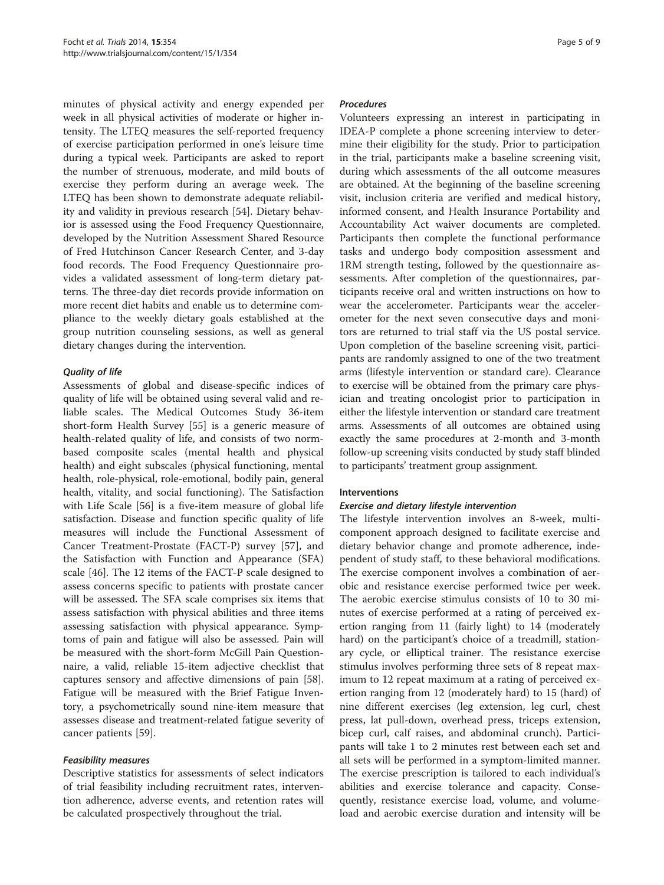minutes of physical activity and energy expended per week in all physical activities of moderate or higher intensity. The LTEQ measures the self-reported frequency of exercise participation performed in one's leisure time during a typical week. Participants are asked to report the number of strenuous, moderate, and mild bouts of exercise they perform during an average week. The LTEQ has been shown to demonstrate adequate reliability and validity in previous research [[54](#page-8-0)]. Dietary behavior is assessed using the Food Frequency Questionnaire, developed by the Nutrition Assessment Shared Resource of Fred Hutchinson Cancer Research Center, and 3-day food records. The Food Frequency Questionnaire provides a validated assessment of long-term dietary patterns. The three-day diet records provide information on more recent diet habits and enable us to determine compliance to the weekly dietary goals established at the group nutrition counseling sessions, as well as general dietary changes during the intervention.

## Quality of life

Assessments of global and disease-specific indices of quality of life will be obtained using several valid and reliable scales. The Medical Outcomes Study 36-item short-form Health Survey [[55](#page-8-0)] is a generic measure of health-related quality of life, and consists of two normbased composite scales (mental health and physical health) and eight subscales (physical functioning, mental health, role-physical, role-emotional, bodily pain, general health, vitality, and social functioning). The Satisfaction with Life Scale [\[56](#page-8-0)] is a five-item measure of global life satisfaction. Disease and function specific quality of life measures will include the Functional Assessment of Cancer Treatment-Prostate (FACT-P) survey [\[57](#page-8-0)], and the Satisfaction with Function and Appearance (SFA) scale [\[46](#page-8-0)]. The 12 items of the FACT-P scale designed to assess concerns specific to patients with prostate cancer will be assessed. The SFA scale comprises six items that assess satisfaction with physical abilities and three items assessing satisfaction with physical appearance. Symptoms of pain and fatigue will also be assessed. Pain will be measured with the short-form McGill Pain Questionnaire, a valid, reliable 15-item adjective checklist that captures sensory and affective dimensions of pain [\[58](#page-8-0)]. Fatigue will be measured with the Brief Fatigue Inventory, a psychometrically sound nine-item measure that assesses disease and treatment-related fatigue severity of cancer patients [[59](#page-8-0)].

## Feasibility measures

Descriptive statistics for assessments of select indicators of trial feasibility including recruitment rates, intervention adherence, adverse events, and retention rates will be calculated prospectively throughout the trial.

## Procedures

Volunteers expressing an interest in participating in IDEA-P complete a phone screening interview to determine their eligibility for the study. Prior to participation in the trial, participants make a baseline screening visit, during which assessments of the all outcome measures are obtained. At the beginning of the baseline screening visit, inclusion criteria are verified and medical history, informed consent, and Health Insurance Portability and Accountability Act waiver documents are completed. Participants then complete the functional performance tasks and undergo body composition assessment and 1RM strength testing, followed by the questionnaire assessments. After completion of the questionnaires, participants receive oral and written instructions on how to wear the accelerometer. Participants wear the accelerometer for the next seven consecutive days and monitors are returned to trial staff via the US postal service. Upon completion of the baseline screening visit, participants are randomly assigned to one of the two treatment arms (lifestyle intervention or standard care). Clearance to exercise will be obtained from the primary care physician and treating oncologist prior to participation in either the lifestyle intervention or standard care treatment arms. Assessments of all outcomes are obtained using exactly the same procedures at 2-month and 3-month follow-up screening visits conducted by study staff blinded to participants' treatment group assignment.

## Interventions

## Exercise and dietary lifestyle intervention

The lifestyle intervention involves an 8-week, multicomponent approach designed to facilitate exercise and dietary behavior change and promote adherence, independent of study staff, to these behavioral modifications. The exercise component involves a combination of aerobic and resistance exercise performed twice per week. The aerobic exercise stimulus consists of 10 to 30 minutes of exercise performed at a rating of perceived exertion ranging from 11 (fairly light) to 14 (moderately hard) on the participant's choice of a treadmill, stationary cycle, or elliptical trainer. The resistance exercise stimulus involves performing three sets of 8 repeat maximum to 12 repeat maximum at a rating of perceived exertion ranging from 12 (moderately hard) to 15 (hard) of nine different exercises (leg extension, leg curl, chest press, lat pull-down, overhead press, triceps extension, bicep curl, calf raises, and abdominal crunch). Participants will take 1 to 2 minutes rest between each set and all sets will be performed in a symptom-limited manner. The exercise prescription is tailored to each individual's abilities and exercise tolerance and capacity. Consequently, resistance exercise load, volume, and volumeload and aerobic exercise duration and intensity will be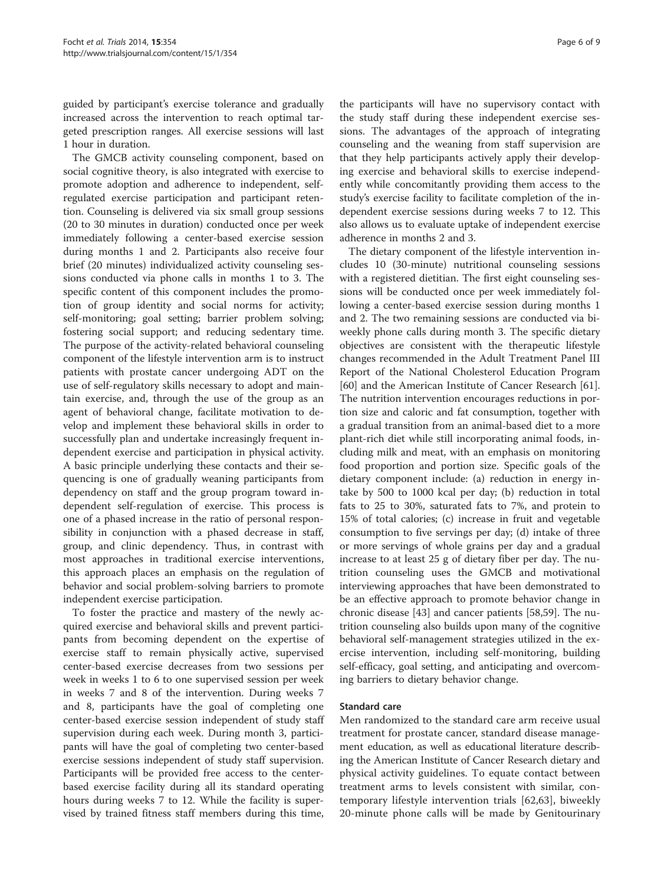guided by participant's exercise tolerance and gradually increased across the intervention to reach optimal targeted prescription ranges. All exercise sessions will last 1 hour in duration.

The GMCB activity counseling component, based on social cognitive theory, is also integrated with exercise to promote adoption and adherence to independent, selfregulated exercise participation and participant retention. Counseling is delivered via six small group sessions (20 to 30 minutes in duration) conducted once per week immediately following a center-based exercise session during months 1 and 2. Participants also receive four brief (20 minutes) individualized activity counseling sessions conducted via phone calls in months 1 to 3. The specific content of this component includes the promotion of group identity and social norms for activity; self-monitoring; goal setting; barrier problem solving; fostering social support; and reducing sedentary time. The purpose of the activity-related behavioral counseling component of the lifestyle intervention arm is to instruct patients with prostate cancer undergoing ADT on the use of self-regulatory skills necessary to adopt and maintain exercise, and, through the use of the group as an agent of behavioral change, facilitate motivation to develop and implement these behavioral skills in order to successfully plan and undertake increasingly frequent independent exercise and participation in physical activity. A basic principle underlying these contacts and their sequencing is one of gradually weaning participants from dependency on staff and the group program toward independent self-regulation of exercise. This process is one of a phased increase in the ratio of personal responsibility in conjunction with a phased decrease in staff, group, and clinic dependency. Thus, in contrast with most approaches in traditional exercise interventions, this approach places an emphasis on the regulation of behavior and social problem-solving barriers to promote independent exercise participation.

To foster the practice and mastery of the newly acquired exercise and behavioral skills and prevent participants from becoming dependent on the expertise of exercise staff to remain physically active, supervised center-based exercise decreases from two sessions per week in weeks 1 to 6 to one supervised session per week in weeks 7 and 8 of the intervention. During weeks 7 and 8, participants have the goal of completing one center-based exercise session independent of study staff supervision during each week. During month 3, participants will have the goal of completing two center-based exercise sessions independent of study staff supervision. Participants will be provided free access to the centerbased exercise facility during all its standard operating hours during weeks 7 to 12. While the facility is supervised by trained fitness staff members during this time, the participants will have no supervisory contact with the study staff during these independent exercise sessions. The advantages of the approach of integrating counseling and the weaning from staff supervision are that they help participants actively apply their developing exercise and behavioral skills to exercise independently while concomitantly providing them access to the study's exercise facility to facilitate completion of the independent exercise sessions during weeks 7 to 12. This also allows us to evaluate uptake of independent exercise adherence in months 2 and 3.

The dietary component of the lifestyle intervention includes 10 (30-minute) nutritional counseling sessions with a registered dietitian. The first eight counseling sessions will be conducted once per week immediately following a center-based exercise session during months 1 and 2. The two remaining sessions are conducted via biweekly phone calls during month 3. The specific dietary objectives are consistent with the therapeutic lifestyle changes recommended in the Adult Treatment Panel III Report of the National Cholesterol Education Program [[60\]](#page-8-0) and the American Institute of Cancer Research [\[61](#page-8-0)]. The nutrition intervention encourages reductions in portion size and caloric and fat consumption, together with a gradual transition from an animal-based diet to a more plant-rich diet while still incorporating animal foods, including milk and meat, with an emphasis on monitoring food proportion and portion size. Specific goals of the dietary component include: (a) reduction in energy intake by 500 to 1000 kcal per day; (b) reduction in total fats to 25 to 30%, saturated fats to 7%, and protein to 15% of total calories; (c) increase in fruit and vegetable consumption to five servings per day; (d) intake of three or more servings of whole grains per day and a gradual increase to at least 25 g of dietary fiber per day. The nutrition counseling uses the GMCB and motivational interviewing approaches that have been demonstrated to be an effective approach to promote behavior change in chronic disease [\[43](#page-8-0)] and cancer patients [\[58,59\]](#page-8-0). The nutrition counseling also builds upon many of the cognitive behavioral self-management strategies utilized in the exercise intervention, including self-monitoring, building self-efficacy, goal setting, and anticipating and overcoming barriers to dietary behavior change.

#### Standard care

Men randomized to the standard care arm receive usual treatment for prostate cancer, standard disease management education, as well as educational literature describing the American Institute of Cancer Research dietary and physical activity guidelines. To equate contact between treatment arms to levels consistent with similar, contemporary lifestyle intervention trials [[62,63](#page-8-0)], biweekly 20-minute phone calls will be made by Genitourinary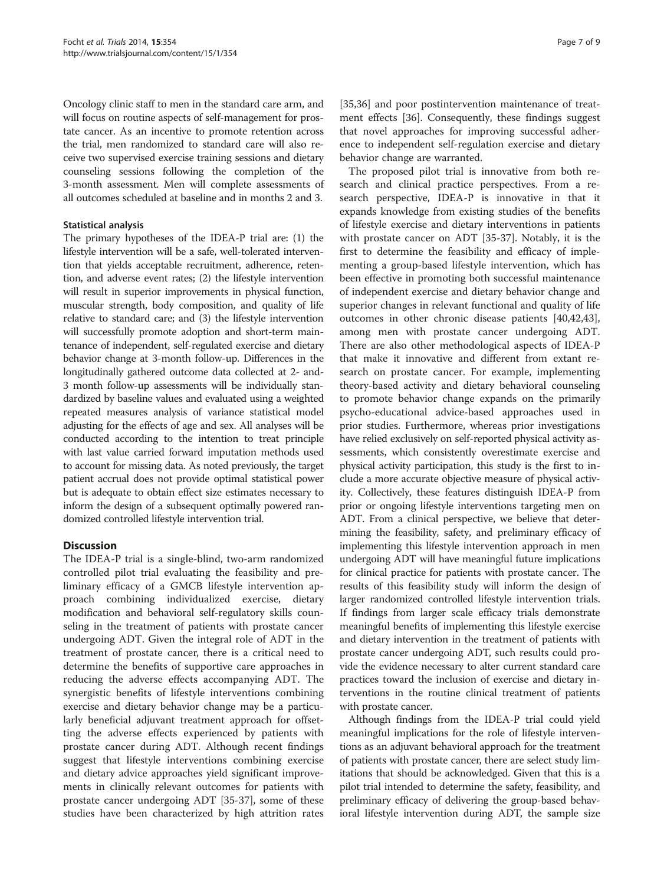Oncology clinic staff to men in the standard care arm, and will focus on routine aspects of self-management for prostate cancer. As an incentive to promote retention across the trial, men randomized to standard care will also receive two supervised exercise training sessions and dietary counseling sessions following the completion of the 3-month assessment. Men will complete assessments of all outcomes scheduled at baseline and in months 2 and 3.

#### Statistical analysis

The primary hypotheses of the IDEA-P trial are: (1) the lifestyle intervention will be a safe, well-tolerated intervention that yields acceptable recruitment, adherence, retention, and adverse event rates; (2) the lifestyle intervention will result in superior improvements in physical function, muscular strength, body composition, and quality of life relative to standard care; and (3) the lifestyle intervention will successfully promote adoption and short-term maintenance of independent, self-regulated exercise and dietary behavior change at 3-month follow-up. Differences in the longitudinally gathered outcome data collected at 2- and-3 month follow-up assessments will be individually standardized by baseline values and evaluated using a weighted repeated measures analysis of variance statistical model adjusting for the effects of age and sex. All analyses will be conducted according to the intention to treat principle with last value carried forward imputation methods used to account for missing data. As noted previously, the target patient accrual does not provide optimal statistical power but is adequate to obtain effect size estimates necessary to inform the design of a subsequent optimally powered randomized controlled lifestyle intervention trial.

## **Discussion**

The IDEA-P trial is a single-blind, two-arm randomized controlled pilot trial evaluating the feasibility and preliminary efficacy of a GMCB lifestyle intervention approach combining individualized exercise, dietary modification and behavioral self-regulatory skills counseling in the treatment of patients with prostate cancer undergoing ADT. Given the integral role of ADT in the treatment of prostate cancer, there is a critical need to determine the benefits of supportive care approaches in reducing the adverse effects accompanying ADT. The synergistic benefits of lifestyle interventions combining exercise and dietary behavior change may be a particularly beneficial adjuvant treatment approach for offsetting the adverse effects experienced by patients with prostate cancer during ADT. Although recent findings suggest that lifestyle interventions combining exercise and dietary advice approaches yield significant improvements in clinically relevant outcomes for patients with prostate cancer undergoing ADT [[35-37](#page-8-0)], some of these studies have been characterized by high attrition rates

[[35,36\]](#page-8-0) and poor postintervention maintenance of treatment effects [\[36\]](#page-8-0). Consequently, these findings suggest that novel approaches for improving successful adherence to independent self-regulation exercise and dietary behavior change are warranted.

The proposed pilot trial is innovative from both research and clinical practice perspectives. From a research perspective, IDEA-P is innovative in that it expands knowledge from existing studies of the benefits of lifestyle exercise and dietary interventions in patients with prostate cancer on ADT [[35](#page-8-0)-[37\]](#page-8-0). Notably, it is the first to determine the feasibility and efficacy of implementing a group-based lifestyle intervention, which has been effective in promoting both successful maintenance of independent exercise and dietary behavior change and superior changes in relevant functional and quality of life outcomes in other chronic disease patients [[40,42,43](#page-8-0)], among men with prostate cancer undergoing ADT. There are also other methodological aspects of IDEA-P that make it innovative and different from extant research on prostate cancer. For example, implementing theory-based activity and dietary behavioral counseling to promote behavior change expands on the primarily psycho-educational advice-based approaches used in prior studies. Furthermore, whereas prior investigations have relied exclusively on self-reported physical activity assessments, which consistently overestimate exercise and physical activity participation, this study is the first to include a more accurate objective measure of physical activity. Collectively, these features distinguish IDEA-P from prior or ongoing lifestyle interventions targeting men on ADT. From a clinical perspective, we believe that determining the feasibility, safety, and preliminary efficacy of implementing this lifestyle intervention approach in men undergoing ADT will have meaningful future implications for clinical practice for patients with prostate cancer. The results of this feasibility study will inform the design of larger randomized controlled lifestyle intervention trials. If findings from larger scale efficacy trials demonstrate meaningful benefits of implementing this lifestyle exercise and dietary intervention in the treatment of patients with prostate cancer undergoing ADT, such results could provide the evidence necessary to alter current standard care practices toward the inclusion of exercise and dietary interventions in the routine clinical treatment of patients with prostate cancer.

Although findings from the IDEA-P trial could yield meaningful implications for the role of lifestyle interventions as an adjuvant behavioral approach for the treatment of patients with prostate cancer, there are select study limitations that should be acknowledged. Given that this is a pilot trial intended to determine the safety, feasibility, and preliminary efficacy of delivering the group-based behavioral lifestyle intervention during ADT, the sample size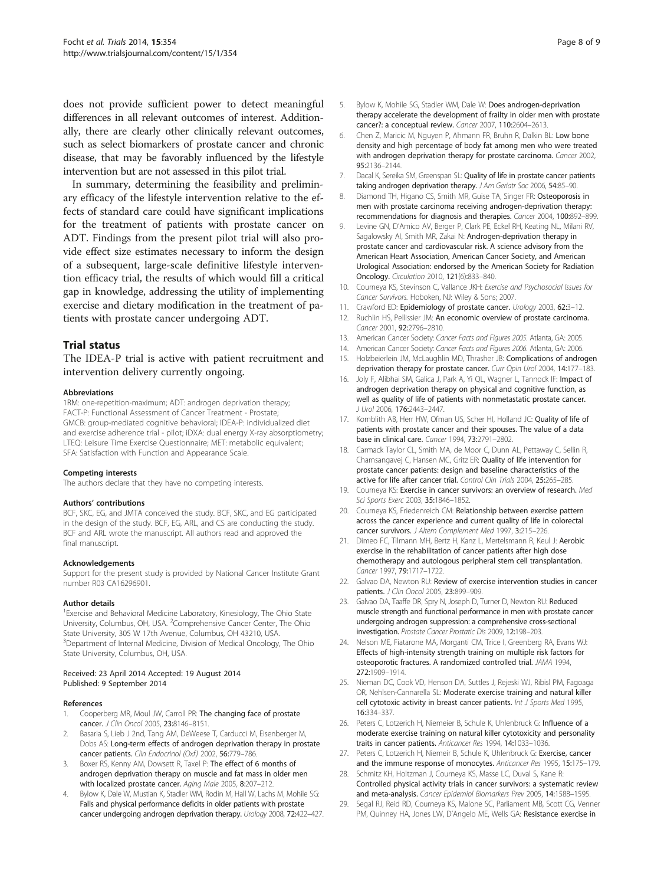<span id="page-7-0"></span>does not provide sufficient power to detect meaningful differences in all relevant outcomes of interest. Additionally, there are clearly other clinically relevant outcomes, such as select biomarkers of prostate cancer and chronic disease, that may be favorably influenced by the lifestyle intervention but are not assessed in this pilot trial.

In summary, determining the feasibility and preliminary efficacy of the lifestyle intervention relative to the effects of standard care could have significant implications for the treatment of patients with prostate cancer on ADT. Findings from the present pilot trial will also provide effect size estimates necessary to inform the design of a subsequent, large-scale definitive lifestyle intervention efficacy trial, the results of which would fill a critical gap in knowledge, addressing the utility of implementing exercise and dietary modification in the treatment of patients with prostate cancer undergoing ADT.

## Trial status

The IDEA-P trial is active with patient recruitment and intervention delivery currently ongoing.

#### Abbreviations

1RM: one-repetition-maximum; ADT: androgen deprivation therapy; FACT-P: Functional Assessment of Cancer Treatment - Prostate; GMCB: group-mediated cognitive behavioral; IDEA-P: individualized diet and exercise adherence trial - pilot; iDXA: dual energy X-ray absorptiometry; LTEQ: Leisure Time Exercise Questionnaire; MET: metabolic equivalent; SFA: Satisfaction with Function and Appearance Scale.

#### Competing interests

The authors declare that they have no competing interests.

#### Authors' contributions

BCF, SKC, EG, and JMTA conceived the study. BCF, SKC, and EG participated in the design of the study. BCF, EG, ARL, and CS are conducting the study. BCF and ARL wrote the manuscript. All authors read and approved the final manuscript.

#### Acknowledgements

Support for the present study is provided by National Cancer Institute Grant number R03 CA16296901.

#### Author details

<sup>1</sup> Exercise and Behavioral Medicine Laboratory, Kinesiology, The Ohio State University, Columbus, OH, USA. <sup>2</sup> Comprehensive Cancer Center, The Ohio State University, 305 W 17th Avenue, Columbus, OH 43210, USA. <sup>3</sup>Department of Internal Medicine, Division of Medical Oncology, The Ohio State University, Columbus, OH, USA.

#### Received: 23 April 2014 Accepted: 19 August 2014 Published: 9 September 2014

#### References

- 1. Cooperberg MR, Moul JW, Carroll PR: The changing face of prostate cancer. J Clin Oncol 2005, 23:8146–8151.
- Basaria S, Lieb J 2nd, Tang AM, DeWeese T, Carducci M, Eisenberger M, Dobs AS: Long-term effects of androgen deprivation therapy in prostate cancer patients. Clin Endocrinol (Oxf) 2002, 56:779-786.
- Boxer RS, Kenny AM, Dowsett R, Taxel P: The effect of 6 months of androgen deprivation therapy on muscle and fat mass in older men with localized prostate cancer. Aging Male 2005, 8:207–212.
- Bylow K, Dale W, Mustian K, Stadler WM, Rodin M, Hall W, Lachs M, Mohile SG: Falls and physical performance deficits in older patients with prostate cancer undergoing androgen deprivation therapy. Urology 2008, 72:422–427.
- 5. Bylow K, Mohile SG, Stadler WM, Dale W: Does androgen-deprivation therapy accelerate the development of frailty in older men with prostate cancer?: a conceptual review. Cancer 2007, 110:2604–2613.
- 6. Chen Z, Maricic M, Nguyen P, Ahmann FR, Bruhn R, Dalkin BL: Low bone density and high percentage of body fat among men who were treated with androgen deprivation therapy for prostate carcinoma. Cancer 2002, 95:2136–2144.
- 7. Dacal K, Sereika SM, Greenspan SL: Quality of life in prostate cancer patients taking androgen deprivation therapy. J Am Geriatr Soc 2006, 54:85-90.
- 8. Diamond TH, Higano CS, Smith MR, Guise TA, Singer FR: Osteoporosis in men with prostate carcinoma receiving androgen-deprivation therapy: recommendations for diagnosis and therapies. Cancer 2004, 100:892–899.
- 9. Levine GN, D'Amico AV, Berger P, Clark PE, Eckel RH, Keating NL, Milani RV, Sagalowsky AI, Smith MR, Zakai N: Androgen-deprivation therapy in prostate cancer and cardiovascular risk. A science advisory from the American Heart Association, American Cancer Society, and American Urological Association: endorsed by the American Society for Radiation Oncology. Circulation 2010, 121(6):833–840.
- 10. Courneya KS, Stevinson C, Vallance JKH: Exercise and Psychosocial Issues for Cancer Survivors. Hoboken, NJ: Wiley & Sons; 2007.
- 11. Crawford ED: Epidemiology of prostate cancer. Urology 2003, 62:3-12.
- 12. Ruchlin HS, Pellissier JM: An economic overview of prostate carcinoma. Cancer 2001, 92:2796–2810.
- 13. American Cancer Society: Cancer Facts and Figures 2005. Atlanta, GA: 2005.
- 14. American Cancer Society: Cancer Facts and Figures 2006. Atlanta, GA: 2006.
- 15. Holzbeierlein JM, McLaughlin MD, Thrasher JB: Complications of androgen deprivation therapy for prostate cancer. Curr Opin Urol 2004, 14:177-183.
- 16. Joly F, Alibhai SM, Galica J, Park A, Yi QL, Wagner L, Tannock IF: Impact of androgen deprivation therapy on physical and cognitive function, as well as quality of life of patients with nonmetastatic prostate cancer. J Urol 2006, 176:2443-2447.
- 17. Kornblith AB, Herr HW, Ofman US, Scher HI, Holland JC: Quality of life of patients with prostate cancer and their spouses. The value of a data base in clinical care. Cancer 1994, 73:2791–2802.
- 18. Carmack Taylor CL, Smith MA, de Moor C, Dunn AL, Pettaway C, Sellin R, Charnsangavej C, Hansen MC, Gritz ER: Quality of life intervention for prostate cancer patients: design and baseline characteristics of the active for life after cancer trial. Control Clin Trials 2004, 25:265–285.
- 19. Courneya KS: Exercise in cancer survivors: an overview of research. Med Sci Sports Exerc 2003, 35:1846–1852.
- 20. Courneya KS, Friedenreich CM: Relationship between exercise pattern across the cancer experience and current quality of life in colorectal cancer survivors. J Altern Complement Med 1997, 3:215–226.
- 21. Dimeo FC, Tilmann MH, Bertz H, Kanz L, Mertelsmann R, Keul J: Aerobic exercise in the rehabilitation of cancer patients after high dose chemotherapy and autologous peripheral stem cell transplantation. Cancer 1997, 79:1717–1722.
- 22. Galvao DA, Newton RU: Review of exercise intervention studies in cancer patients. J Clin Oncol 2005, 23:899–909.
- 23. Galvao DA, Taaffe DR, Spry N, Joseph D, Turner D, Newton RU: Reduced muscle strength and functional performance in men with prostate cancer undergoing androgen suppression: a comprehensive cross-sectional investigation. Prostate Cancer Prostatic Dis 2009, 12:198–203.
- 24. Nelson ME, Fiatarone MA, Morganti CM, Trice I, Greenberg RA, Evans WJ: Effects of high-intensity strength training on multiple risk factors for osteoporotic fractures. A randomized controlled trial. JAMA 1994, 272:1909–1914.
- 25. Nieman DC, Cook VD, Henson DA, Suttles J, Rejeski WJ, Ribisl PM, Fagoaga OR, Nehlsen-Cannarella SL: Moderate exercise training and natural killer cell cytotoxic activity in breast cancer patients. Int J Sports Med 1995, 16:334–337.
- 26. Peters C, Lotzerich H, Niemeier B, Schule K, Uhlenbruck G: Influence of a moderate exercise training on natural killer cytotoxicity and personality traits in cancer patients. Anticancer Res 1994, 14:1033–1036.
- 27. Peters C, Lotzerich H, Niemeir B, Schule K, Uhlenbruck G: Exercise, cancer and the immune response of monocytes. Anticancer Res 1995, 15:175–179.
- 28. Schmitz KH, Holtzman J, Courneya KS, Masse LC, Duval S, Kane R: Controlled physical activity trials in cancer survivors: a systematic review and meta-analysis. Cancer Epidemiol Biomarkers Prev 2005, 14:1588–1595.
- 29. Segal RJ, Reid RD, Courneya KS, Malone SC, Parliament MB, Scott CG, Venner PM, Quinney HA, Jones LW, D'Angelo ME, Wells GA: Resistance exercise in